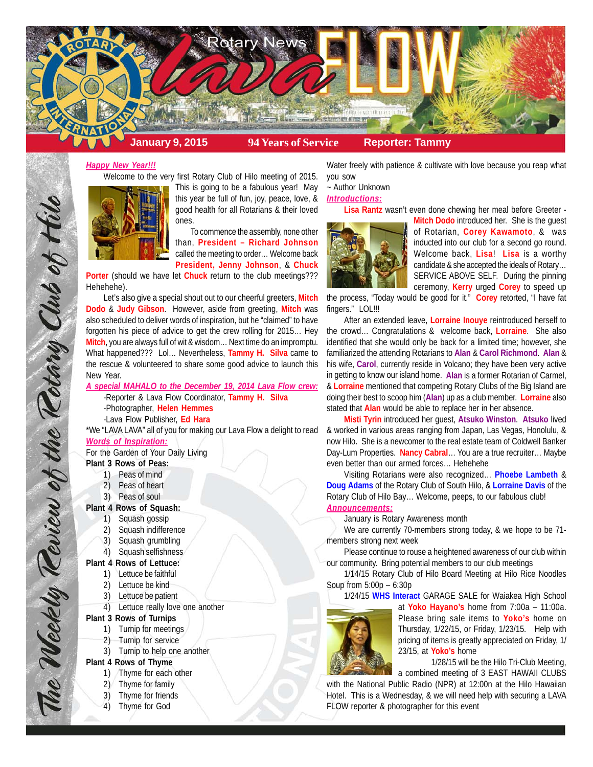

## *Happy New Year!!!*

Welcome to the very first Rotary Club of Hilo meeting of 2015.



This is going to be a fabulous year! May this year be full of fun, joy, peace, love, & good health for all Rotarians & their loved ones.

To commence the assembly, none other than, **President – Richard Johnson** called the meeting to order… Welcome back **President, Jenny Johnson**, & **Chuck**

**Porter** (should we have let **Chuck** return to the club meetings??? Hehehehe).

Let's also give a special shout out to our cheerful greeters, **Mitch Dodo** & **Judy Gibson**. However, aside from greeting, **Mitch** was also scheduled to deliver words of inspiration, but he "claimed" to have forgotten his piece of advice to get the crew rolling for 2015… Hey **Mitch**, you are always full of wit & wisdom… Next time do an impromptu. What happened??? Lol… Nevertheless, **Tammy H. Silva** came to the rescue & volunteered to share some good advice to launch this New Year.

*A special MAHALO to the December 19, 2014 Lava Flow crew:* -Reporter & Lava Flow Coordinator, **Tammy H. Silva** -Photographer, **Helen Hemmes**

-Lava Flow Publisher, **Ed Hara**

\*We "LAVA LAVA" all of you for making our Lava Flow a delight to read *Words of Inspiration:*

For the Garden of Your Daily Living

**Plant 3 Rows of Peas:**

The Weekly Teview of the Tetary Club of Hilo

- 1) Peas of mind
- 2) Peas of heart
- 3) Peas of soul

# **Plant 4 Rows of Squash:**

- 1) Squash gossip
- 2) Squash indifference
- 3) Squash grumbling
- 4) Squash selfishness
- **Plant 4 Rows of Lettuce:**
	- 1) Lettuce be faithful
	- 2) Lettuce be kind
	- 3) Lettuce be patient
- 4) Lettuce really love one another

#### **Plant 3 Rows of Turnips**

- 1) Turnip for meetings
- 2) Turnip for service
- 3) Turnip to help one another

## **Plant 4 Rows of Thyme**

- 1) Thyme for each other
- 2) Thyme for family
- 3) Thyme for friends
- 4) Thyme for God

Water freely with patience & cultivate with love because you reap what you sow

~ Author Unknown

### *Introductions:*

**Lisa Rantz** wasn't even done chewing her meal before Greeter -



**Mitch Dodo** introduced her. She is the guest of Rotarian, **Corey Kawamoto**, & was inducted into our club for a second go round. Welcome back, **Lisa**! **Lisa** is a worthy candidate & she accepted the ideals of Rotary… SERVICE ABOVE SELF. During the pinning ceremony, **Kerry** urged **Corey** to speed up

the process, "Today would be good for it." **Corey** retorted, "I have fat fingers." LOL!!!

After an extended leave, **Lorraine Inouye** reintroduced herself to the crowd… Congratulations & welcome back, **Lorraine**. She also identified that she would only be back for a limited time; however, she familiarized the attending Rotarians to **Alan** & **Carol Richmond**. **Alan** & his wife, **Carol**, currently reside in Volcano; they have been very active in getting to know our island home. **Alan** is a former Rotarian of Carmel, & **Lorraine** mentioned that competing Rotary Clubs of the Big Island are doing their best to scoop him (**Alan**) up as a club member. **Lorraine** also stated that **Alan** would be able to replace her in her absence.

**Misti Tyrin** introduced her guest, **Atsuko Winston**. **Atsuko** lived & worked in various areas ranging from Japan, Las Vegas, Honolulu, & now Hilo. She is a newcomer to the real estate team of Coldwell Banker Day-Lum Properties. **Nancy Cabral**… You are a true recruiter… Maybe even better than our armed forces… Hehehehe

Visiting Rotarians were also recognized… **Phoebe Lambeth** & **Doug Adams** of the Rotary Club of South Hilo, & **Lorraine Davis** of the Rotary Club of Hilo Bay… Welcome, peeps, to our fabulous club! *Announcements:*

#### January is Rotary Awareness month

We are currently 70-members strong today, & we hope to be 71 members strong next week

Please continue to rouse a heightened awareness of our club within our community. Bring potential members to our club meetings

1/14/15 Rotary Club of Hilo Board Meeting at Hilo Rice Noodles Soup from 5:00p – 6:30p

1/24/15 **WHS Interact** GARAGE SALE for Waiakea High School



at **Yoko Hayano's** home from 7:00a – 11:00a. Please bring sale items to **Yoko's** home on Thursday, 1/22/15, or Friday, 1/23/15. Help with pricing of items is greatly appreciated on Friday, 1/ 23/15, at **Yoko's** home

1/28/15 will be the Hilo Tri-Club Meeting, a combined meeting of 3 EAST HAWAII CLUBS

with the National Public Radio (NPR) at 12:00n at the Hilo Hawaiian Hotel. This is a Wednesday, & we will need help with securing a LAVA FLOW reporter & photographer for this event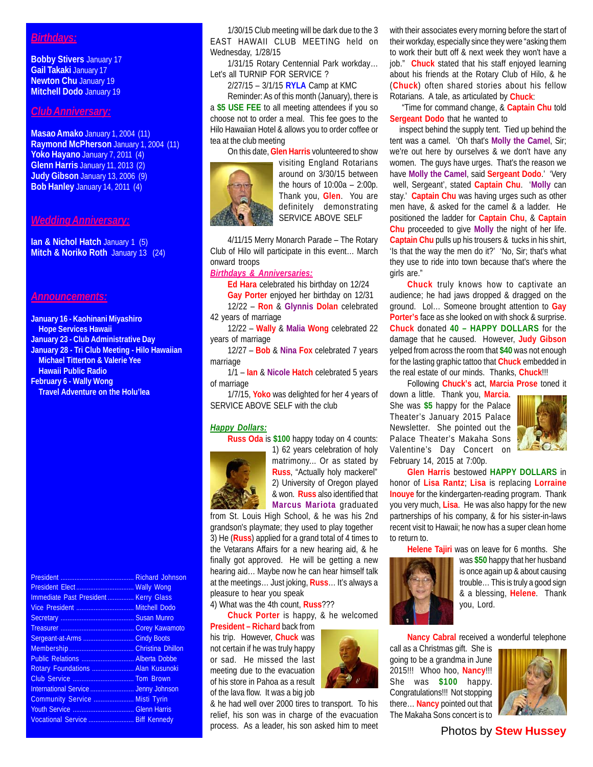## *Birthdays:*

**Bobby Stivers** January 17 **Gail Takaki** January 17 **Newton Chu** January 19 **Mitchell Dodo** January 19

## *Club Anniversary:*

**Masao Amako** January 1, 2004 (11) **Raymond McPherson** January 1, 2004 (11) **Yoko Hayano** January 7, 2011 (4) **Glenn Harris** January 11, 2013 (2) **Judy Gibson** January 13, 2006 (9) **Bob Hanley** January 14, 2011 (4)

#### *Wedding Anniversary:*

**Ian & Nichol Hatch** January 1 (5) **Mitch & Noriko Roth January 13 (24)** 

#### *Announcements:*

**January 16 - Kaohinani Miyashiro Hope Services Hawaii January 23 - Club Administrative Day January 28 - Tri Club Meeting - Hilo Hawaiian Michael Titterton & Valerie Yee Hawaii Public Radio February 6 - Wally Wong Travel Adventure on the Holu'lea**

President .......................................... Richard Johnson President Elect ................................. Wally Wong Immediate Past President ............... Kerry Glass Vice President ................................. Mitchell Dodo Secretary .......................................... Susan Munro Treasurer .......................................... Corey Kawamoto Sergeant-at-Arms ............................. Cindy Boots Membership ..................................... Christina Dhillon Public Relations .............................. Alberta Dobbe Rotary Foundations ........................ Alan Kusunoki Club Service ................................... Tom Brown International Service ......................... Jenny Johnson Community Service ....................... Misti Tyrin Youth Service ................................... Glenn Harris Vocational Service .......................... Biff Kennedy

1/30/15 Club meeting will be dark due to the 3 EAST HAWAII CLUB MEETING held on Wednesday, 1/28/15

1/31/15 Rotary Centennial Park workday… Let's all TURNIP FOR SERVICE ?

2/27/15 – 3/1/15 **RYLA** Camp at KMC

Reminder: As of this month (January), there is a **\$5 USE FEE** to all meeting attendees if you so choose not to order a meal. This fee goes to the Hilo Hawaiian Hotel & allows you to order coffee or tea at the club meeting



On this date, **Glen Harris** volunteered to show visiting England Rotarians around on 3/30/15 between the hours of 10:00a – 2:00p. Thank you, **Glen**. You are definitely demonstrating SERVICE ABOVE SELF

4/11/15 Merry Monarch Parade – The Rotary Club of Hilo will participate in this event… March onward troops

*Birthdays & Anniversaries:*

**Ed Hara** celebrated his birthday on 12/24

**Gay Porter** enjoyed her birthday on 12/31 12/22 – **Ron** & **Glynnis Dolan** celebrated 42 years of marriage

12/22 – **Wally** & **Malia Wong** celebrated 22 years of marriage

12/27 – **Bob** & **Nina Fox** celebrated 7 years marriage

1/1 – **Ian** & **Nicole Hatch** celebrated 5 years of marriage

1/7/15, **Yoko** was delighted for her 4 years of SERVICE ABOVE SELF with the club

#### *Happy Dollars:*

**Russ Oda** is **\$100** happy today on 4 counts:



1) 62 years celebration of holy matrimony... Or as stated by **Russ**, "Actually holy mackerel"

2) University of Oregon played & won. **Russ** also identified that **Marcus Mariota** graduated from St. Louis High School, & he was his 2nd

grandson's playmate; they used to play together 3) He (**Russ**) applied for a grand total of 4 times to the Vetarans Affairs for a new hearing aid, & he finally got approved. He will be getting a new hearing aid… Maybe now he can hear himself talk at the meetings… Just joking, **Russ**… It's always a pleasure to hear you speak

4) What was the 4th count, **Russ**???

**Chuck Porter** is happy, & he welcomed

**President – Richard** back from his trip. However, **Chuck** was not certain if he was truly happy or sad. He missed the last meeting due to the evacuation of his store in Pahoa as a result of the lava flow. It was a big job

& he had well over 2000 tires to transport. To his relief, his son was in charge of the evacuation process. As a leader, his son asked him to meet

with their associates every morning before the start of their workday, especially since they were "asking them to work their butt off & next week they won't have a job." **Chuck** stated that his staff enjoyed learning about his friends at the Rotary Club of Hilo, & he (**Chuck**) often shared stories about his fellow Rotarians. A tale, as articulated by **Chuck**:

 "Time for command change, & **Captain Chu** told **Sergeant Dodo** that he wanted to

 inspect behind the supply tent. Tied up behind the tent was a camel. 'Oh that's **Molly the Camel**, Sir; we're out here by ourselves & we don't have any women. The guys have urges. That's the reason we have **Molly the Camel**, said **Sergeant Dodo**.' 'Very well, Sergeant', stated **Captain Chu**. '**Molly** can stay.' **Captain Chu** was having urges such as other men have, & asked for the camel & a ladder. He positioned the ladder for **Captain Chu**, & **Captain Chu** proceeded to give **Molly** the night of her life. **Captain Chu** pulls up his trousers & tucks in his shirt, 'Is that the way the men do it?' 'No, Sir; that's what they use to ride into town because that's where the girls are."

**Chuck** truly knows how to captivate an audience; he had jaws dropped & dragged on the ground. Lol… Someone brought attention to **Gay Porter's** face as she looked on with shock & surprise. **Chuck** donated **40 – HAPPY DOLLARS** for the damage that he caused. However, **Judy Gibson** yelped from across the room that **\$40** was not enough for the lasting graphic tattoo that **Chuck** embedded in the real estate of our minds. Thanks, **Chuck**!!!

Following **Chuck's** act, **Marcia Prose** toned it

down a little. Thank you, **Marcia**. She was **\$5** happy for the Palace Theater's January 2015 Palace Newsletter. She pointed out the Palace Theater's Makaha Sons Valentine's Day Concert on February 14, 2015 at 7:00p.



**Glen Harris** bestowed **HAPPY DOLLARS** in honor of **Lisa Rantz**; **Lisa** is replacing **Lorraine Inouye** for the kindergarten-reading program. Thank you very much, **Lisa**. He was also happy for the new partnerships of his company, & for his sister-in-laws recent visit to Hawaii; he now has a super clean home to return to.

**Helene Tajiri** was on leave for 6 months. She



was **\$50** happy that her husband is once again up & about causing trouble… This is truly a good sign & a blessing, **Helene**. Thank you, Lord.

**Nancy Cabral** received a wonderful telephone

call as a Christmas gift. She is going to be a grandma in June 2015!!! Whoo hoo, **Nancy**!!! She was **\$100** happy. Congratulations!!! Not stopping there… **Nancy** pointed out that The Makaha Sons concert is to



Photos by **Stew Hussey**